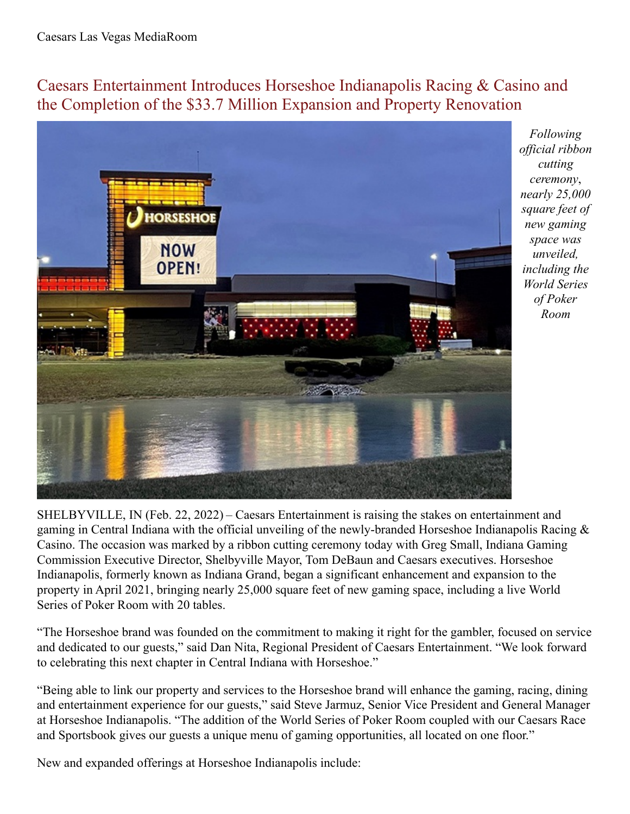## Caesars Entertainment Introduces Horseshoe Indianapolis Racing & Casino and the Completion of the \$33.7 Million Expansion and Property Renovation



*Following of icial ribbon cutting ceremony*, *nearly 25,000 square feet of new gaming space was unveiled, including the World Series of Poker Room*

SHELBYVILLE, IN (Feb. 22, 2022) – Caesars Entertainment is raising the stakes on entertainment and gaming in Central Indiana with the official unveiling of the newly-branded Horseshoe Indianapolis Racing & Casino. The occasion was marked by a ribbon cutting ceremony today with Greg Small, Indiana Gaming Commission Executive Director, Shelbyville Mayor, Tom DeBaun and Caesars executives. Horseshoe Indianapolis, formerly known as Indiana Grand, began a significant enhancement and expansion to the property in April 2021, bringing nearly 25,000 square feet of new gaming space, including a live World Series of Poker Room with 20 tables.

"The Horseshoe brand was founded on the commitment to making it right for the gambler, focused on service and dedicated to our guests," said Dan Nita, Regional President of Caesars Entertainment. "We look forward to celebrating this next chapter in Central Indiana with Horseshoe."

"Being able to link our property and services to the Horseshoe brand will enhance the gaming, racing, dining and entertainment experience for our guests," said Steve Jarmuz, Senior Vice President and General Manager at Horseshoe Indianapolis. "The addition of the World Series of Poker Room coupled with our Caesars Race and Sportsbook gives our guests a unique menu of gaming opportunities, all located on one floor."

New and expanded offerings at Horseshoe Indianapolis include: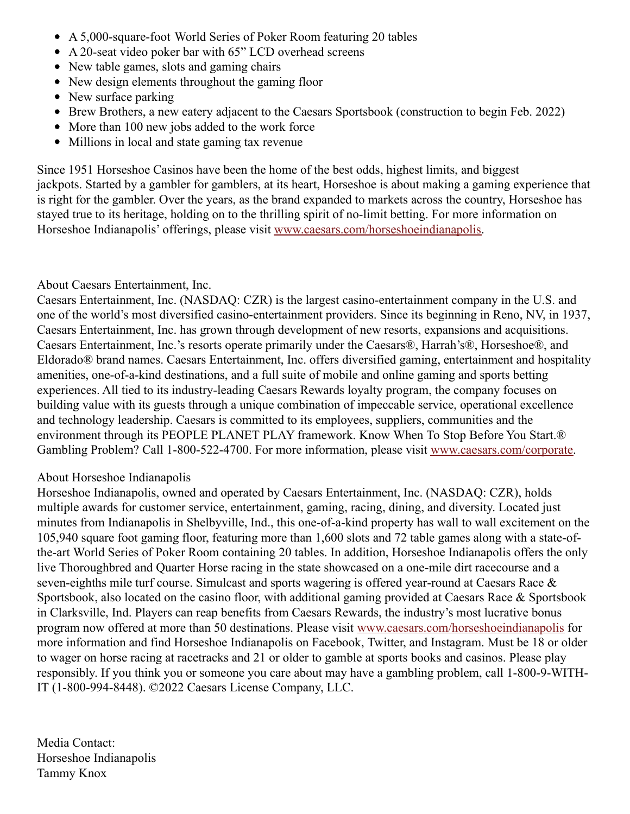- A 5,000-square-foot World Series of Poker Room featuring 20 tables
- A 20-seat video poker bar with 65" LCD overhead screens
- New table games, slots and gaming chairs
- New design elements throughout the gaming floor
- New surface parking
- Brew Brothers, a new eatery adjacent to the Caesars Sportsbook (construction to begin Feb. 2022)
- More than 100 new jobs added to the work force
- Millions in local and state gaming tax revenue

Since 1951 Horseshoe Casinos have been the home of the best odds, highest limits, and biggest jackpots. Started by a gambler for gamblers, at its heart, Horseshoe is about making a gaming experience that is right for the gambler. Over the years, as the brand expanded to markets across the country, Horseshoe has stayed true to its heritage, holding on to the thrilling spirit of no-limit betting. For more information on Horseshoe Indianapolis' offerings, please visit [www.caesars.com/horseshoeindianapolis](http://www.caesars.com/horseshoeindianapolis).

## About Caesars Entertainment, Inc.

Caesars Entertainment, Inc. (NASDAQ: CZR) is the largest casino-entertainment company in the U.S. and one of the world's most diversified casino-entertainment providers. Since its beginning in Reno, NV, in 1937, Caesars Entertainment, Inc. has grown through development of new resorts, expansions and acquisitions. Caesars Entertainment, Inc.'s resorts operate primarily under the Caesars®, Harrah's®, Horseshoe®, and Eldorado® brand names. Caesars Entertainment, Inc. offers diversified gaming, entertainment and hospitality amenities, one-of-a-kind destinations, and a full suite of mobile and online gaming and sports betting experiences. All tied to its industry-leading Caesars Rewards loyalty program, the company focuses on building value with its guests through a unique combination of impeccable service, operational excellence and technology leadership. Caesars is committed to its employees, suppliers, communities and the environment through its PEOPLE PLANET PLAY framework. Know When To Stop Before You Start.® Gambling Problem? Call 1-800-522-4700. For more information, please visit [www.caesars.com/corporate](http://www.caesars.com/corporate).

## About Horseshoe Indianapolis

Horseshoe Indianapolis, owned and operated by Caesars Entertainment, Inc. (NASDAQ: CZR), holds multiple awards for customer service, entertainment, gaming, racing, dining, and diversity. Located just minutes from Indianapolis in Shelbyville, Ind., this one-of-a-kind property has wall to wall excitement on the 105,940 square foot gaming floor, featuring more than 1,600 slots and 72 table games along with a state-ofthe-art World Series of Poker Room containing 20 tables. In addition, Horseshoe Indianapolis offers the only live Thoroughbred and Quarter Horse racing in the state showcased on a one-mile dirt racecourse and a seven-eighths mile turf course. Simulcast and sports wagering is offered year-round at Caesars Race & Sportsbook, also located on the casino floor, with additional gaming provided at Caesars Race & Sportsbook in Clarksville, Ind. Players can reap benefits from Caesars Rewards, the industry's most lucrative bonus program now offered at more than 50 destinations. Please visit [www.caesars.com/horseshoeindianapolis](http://www.caesars.com/horseshoeindianapolis) for more information and find Horseshoe Indianapolis on Facebook, Twitter, and Instagram. Must be 18 or older to wager on horse racing at racetracks and 21 or older to gamble at sports books and casinos. Please play responsibly. If you think you or someone you care about may have a gambling problem, call 1-800-9-WITH-IT (1-800-994-8448). ©2022 Caesars License Company, LLC.

Media Contact: Horseshoe Indianapolis Tammy Knox